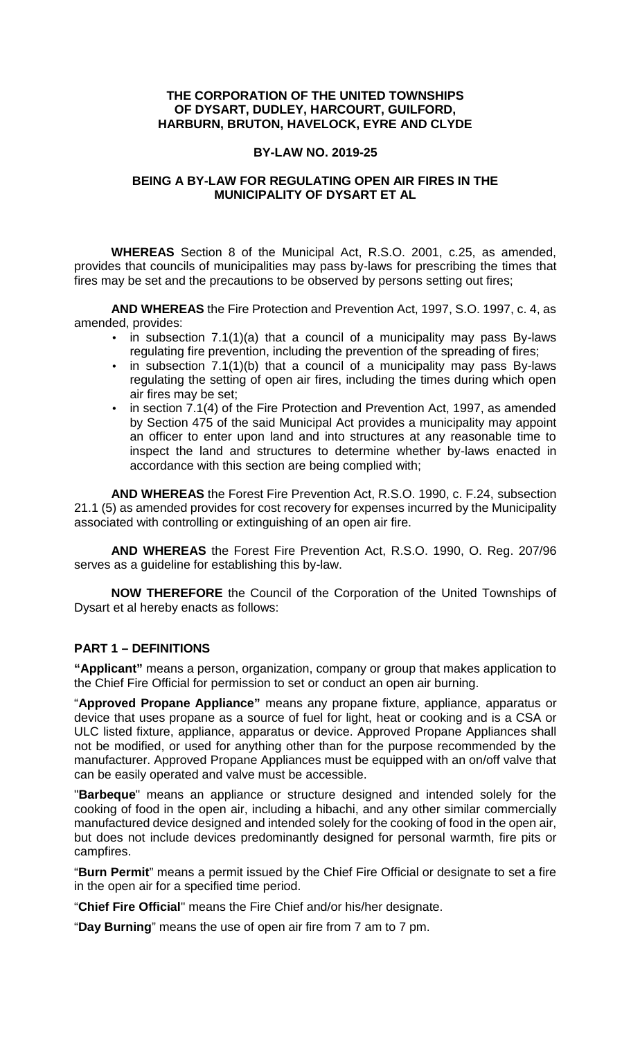## **THE CORPORATION OF THE UNITED TOWNSHIPS OF DYSART, DUDLEY, HARCOURT, GUILFORD, HARBURN, BRUTON, HAVELOCK, EYRE AND CLYDE**

#### **BY-LAW NO. 2019-25**

## **BEING A BY-LAW FOR REGULATING OPEN AIR FIRES IN THE MUNICIPALITY OF DYSART ET AL**

**WHEREAS** Section 8 of the Municipal Act, R.S.O. 2001, c.25, as amended, provides that councils of municipalities may pass by-laws for prescribing the times that fires may be set and the precautions to be observed by persons setting out fires;

**AND WHEREAS** the Fire Protection and Prevention Act, 1997, S.O. 1997, c. 4, as amended, provides:

- $\bullet$  in subsection 7.1(1)(a) that a council of a municipality may pass By-laws regulating fire prevention, including the prevention of the spreading of fires;
- $\bullet$  in subsection 7.1(1)(b) that a council of a municipality may pass By-laws regulating the setting of open air fires, including the times during which open air fires may be set;
- in section 7.1(4) of the Fire Protection and Prevention Act, 1997, as amended by Section 475 of the said Municipal Act provides a municipality may appoint an officer to enter upon land and into structures at any reasonable time to inspect the land and structures to determine whether by-laws enacted in accordance with this section are being complied with;

**AND WHEREAS** the Forest Fire Prevention Act, R.S.O. 1990, c. F.24, subsection 21.1 (5) as amended provides for cost recovery for expenses incurred by the Municipality associated with controlling or extinguishing of an open air fire.

**AND WHEREAS** the Forest Fire Prevention Act, R.S.O. 1990, O. Reg. 207/96 serves as a guideline for establishing this by-law.

**NOW THEREFORE** the Council of the Corporation of the United Townships of Dysart et al hereby enacts as follows:

## **PART 1 – DEFINITIONS**

**"Applicant"** means a person, organization, company or group that makes application to the Chief Fire Official for permission to set or conduct an open air burning.

"**Approved Propane Appliance"** means any propane fixture, appliance, apparatus or device that uses propane as a source of fuel for light, heat or cooking and is a CSA or ULC listed fixture, appliance, apparatus or device. Approved Propane Appliances shall not be modified, or used for anything other than for the purpose recommended by the manufacturer. Approved Propane Appliances must be equipped with an on/off valve that can be easily operated and valve must be accessible.

"**Barbeque**" means an appliance or structure designed and intended solely for the cooking of food in the open air, including a hibachi, and any other similar commercially manufactured device designed and intended solely for the cooking of food in the open air, but does not include devices predominantly designed for personal warmth, fire pits or campfires.

"**Burn Permit**" means a permit issued by the Chief Fire Official or designate to set a fire in the open air for a specified time period.

"**Chief Fire Official**" means the Fire Chief and/or his/her designate.

"**Day Burning**" means the use of open air fire from 7 am to 7 pm.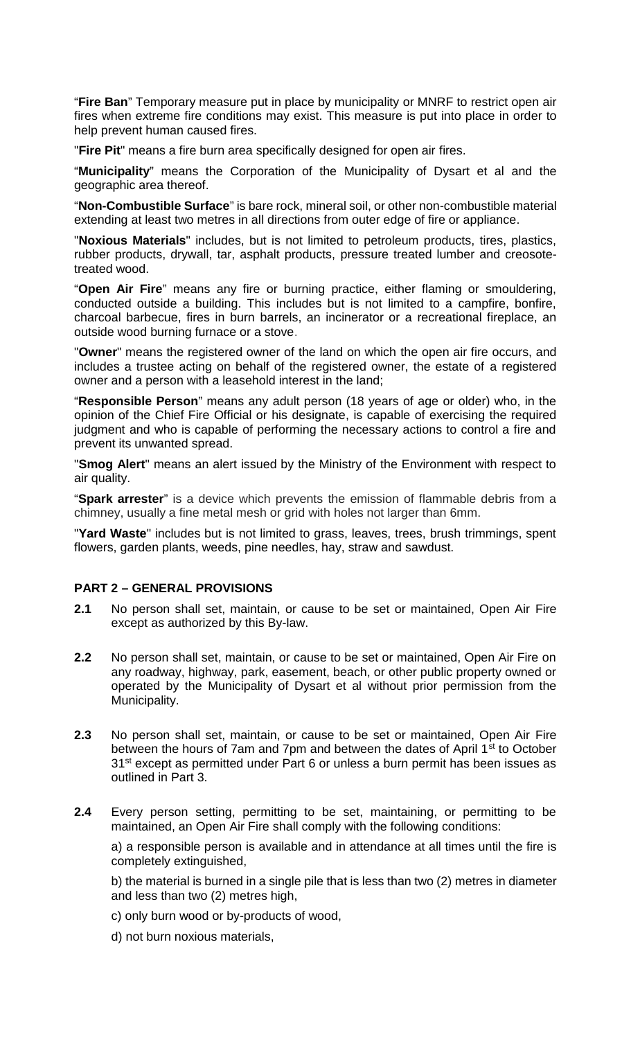"**Fire Ban**" Temporary measure put in place by municipality or MNRF to restrict open air fires when extreme fire conditions may exist. This measure is put into place in order to help prevent human caused fires.

"**Fire Pit**" means a fire burn area specifically designed for open air fires.

"**Municipality**" means the Corporation of the Municipality of Dysart et al and the geographic area thereof.

"**Non-Combustible Surface**" is bare rock, mineral soil, or other non-combustible material extending at least two metres in all directions from outer edge of fire or appliance.

"**Noxious Materials**" includes, but is not limited to petroleum products, tires, plastics, rubber products, drywall, tar, asphalt products, pressure treated lumber and creosotetreated wood.

"**Open Air Fire**" means any fire or burning practice, either flaming or smouldering, conducted outside a building. This includes but is not limited to a campfire, bonfire, charcoal barbecue, fires in burn barrels, an incinerator or a recreational fireplace, an outside wood burning furnace or a stove.

"**Owner**" means the registered owner of the land on which the open air fire occurs, and includes a trustee acting on behalf of the registered owner, the estate of a registered owner and a person with a leasehold interest in the land;

"**Responsible Person**" means any adult person (18 years of age or older) who, in the opinion of the Chief Fire Official or his designate, is capable of exercising the required judgment and who is capable of performing the necessary actions to control a fire and prevent its unwanted spread.

"**Smog Alert**" means an alert issued by the Ministry of the Environment with respect to air quality.

"**Spark arrester**" is a device which prevents the emission of flammable debris from a chimney, usually a fine metal mesh or grid with holes not larger than 6mm.

"**Yard Waste**" includes but is not limited to grass, leaves, trees, brush trimmings, spent flowers, garden plants, weeds, pine needles, hay, straw and sawdust.

## **PART 2 – GENERAL PROVISIONS**

- **2.1** No person shall set, maintain, or cause to be set or maintained, Open Air Fire except as authorized by this By-law.
- **2.2** No person shall set, maintain, or cause to be set or maintained, Open Air Fire on any roadway, highway, park, easement, beach, or other public property owned or operated by the Municipality of Dysart et al without prior permission from the Municipality.
- **2.3** No person shall set, maintain, or cause to be set or maintained, Open Air Fire between the hours of 7am and 7pm and between the dates of April 1<sup>st</sup> to October 31<sup>st</sup> except as permitted under Part 6 or unless a burn permit has been issues as outlined in Part 3.
- **2.4** Every person setting, permitting to be set, maintaining, or permitting to be maintained, an Open Air Fire shall comply with the following conditions:

a) a responsible person is available and in attendance at all times until the fire is completely extinguished,

b) the material is burned in a single pile that is less than two (2) metres in diameter and less than two (2) metres high,

- c) only burn wood or by-products of wood,
- d) not burn noxious materials,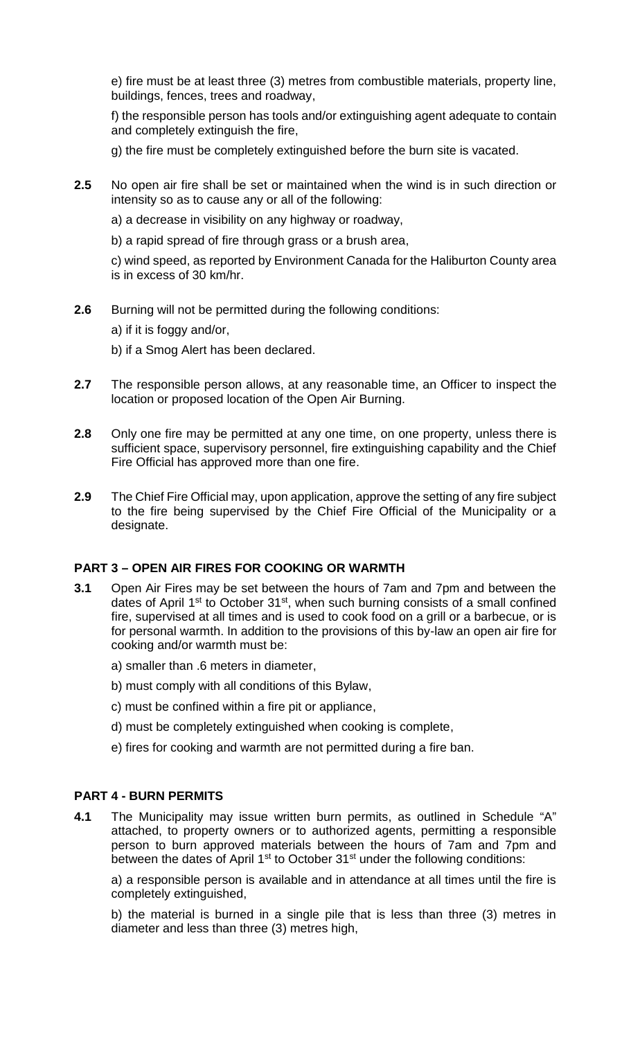e) fire must be at least three (3) metres from combustible materials, property line, buildings, fences, trees and roadway,

f) the responsible person has tools and/or extinguishing agent adequate to contain and completely extinguish the fire,

g) the fire must be completely extinguished before the burn site is vacated.

**2.5** No open air fire shall be set or maintained when the wind is in such direction or intensity so as to cause any or all of the following:

a) a decrease in visibility on any highway or roadway,

b) a rapid spread of fire through grass or a brush area,

c) wind speed, as reported by Environment Canada for the Haliburton County area is in excess of 30 km/hr.

**2.6** Burning will not be permitted during the following conditions:

a) if it is foggy and/or,

- b) if a Smog Alert has been declared.
- **2.7** The responsible person allows, at any reasonable time, an Officer to inspect the location or proposed location of the Open Air Burning.
- **2.8** Only one fire may be permitted at any one time, on one property, unless there is sufficient space, supervisory personnel, fire extinguishing capability and the Chief Fire Official has approved more than one fire.
- **2.9** The Chief Fire Official may, upon application, approve the setting of any fire subject to the fire being supervised by the Chief Fire Official of the Municipality or a designate.

## **PART 3 – OPEN AIR FIRES FOR COOKING OR WARMTH**

- **3.1** Open Air Fires may be set between the hours of 7am and 7pm and between the dates of April 1<sup>st</sup> to October 31<sup>st</sup>, when such burning consists of a small confined fire, supervised at all times and is used to cook food on a grill or a barbecue, or is for personal warmth. In addition to the provisions of this by-law an open air fire for cooking and/or warmth must be:
	- a) smaller than .6 meters in diameter,
	- b) must comply with all conditions of this Bylaw,
	- c) must be confined within a fire pit or appliance,
	- d) must be completely extinguished when cooking is complete,
	- e) fires for cooking and warmth are not permitted during a fire ban.

#### **PART 4 - BURN PERMITS**

**4.1** The Municipality may issue written burn permits, as outlined in Schedule "A" attached, to property owners or to authorized agents, permitting a responsible person to burn approved materials between the hours of 7am and 7pm and between the dates of April 1<sup>st</sup> to October 31<sup>st</sup> under the following conditions:

a) a responsible person is available and in attendance at all times until the fire is completely extinguished,

b) the material is burned in a single pile that is less than three (3) metres in diameter and less than three (3) metres high,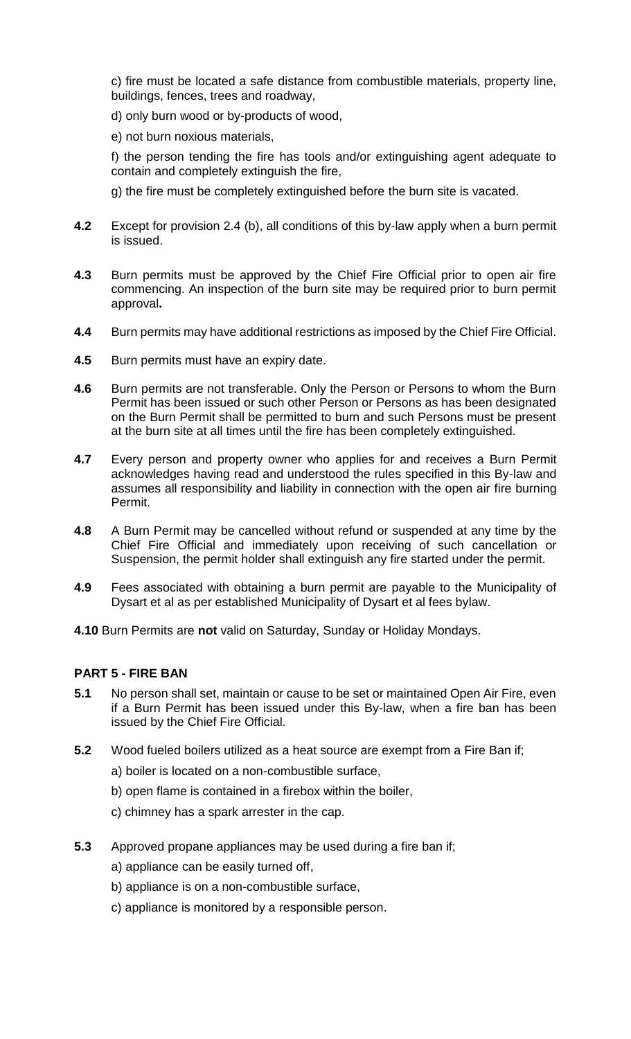c) fire must be located a safe distance from combustible materials, property line, buildings, fences, trees and roadway,

- d) only burn wood or by-products of wood,
- e) not burn noxious materials,

f) the person tending the fire has tools and/or extinguishing agent adequate to contain and completely extinguish the fire,

g) the fire must be completely extinguished before the burn site is vacated.

- **4.2** Except for provision 2.4 (b), all conditions of this by-law apply when a burn permit is issued.
- **4.3** Burn permits must be approved by the Chief Fire Official prior to open air fire commencing. An inspection of the burn site may be required prior to burn permit approval**.**
- **4.4** Burn permits may have additional restrictions as imposed by the Chief Fire Official.
- **4.5** Burn permits must have an expiry date.
- **4.6** Burn permits are not transferable. Only the Person or Persons to whom the Burn Permit has been issued or such other Person or Persons as has been designated on the Burn Permit shall be permitted to burn and such Persons must be present at the burn site at all times until the fire has been completely extinguished.
- **4.7** Every person and property owner who applies for and receives a Burn Permit acknowledges having read and understood the rules specified in this By-law and assumes all responsibility and liability in connection with the open air fire burning Permit.
- **4.8** A Burn Permit may be cancelled without refund or suspended at any time by the Chief Fire Official and immediately upon receiving of such cancellation or Suspension, the permit holder shall extinguish any fire started under the permit.
- **4.9** Fees associated with obtaining a burn permit are payable to the Municipality of Dysart et al as per established Municipality of Dysart et al fees bylaw.
- **4.10** Burn Permits are **not** valid on Saturday, Sunday or Holiday Mondays.

## **PART 5 - FIRE BAN**

- **5.1** No person shall set, maintain or cause to be set or maintained Open Air Fire, even if a Burn Permit has been issued under this By-law, when a fire ban has been issued by the Chief Fire Official.
- **5.2** Wood fueled boilers utilized as a heat source are exempt from a Fire Ban if;
	- a) boiler is located on a non-combustible surface,
	- b) open flame is contained in a firebox within the boiler,
	- c) chimney has a spark arrester in the cap.
- **5.3** Approved propane appliances may be used during a fire ban if;
	- a) appliance can be easily turned off,
	- b) appliance is on a non-combustible surface,
	- c) appliance is monitored by a responsible person.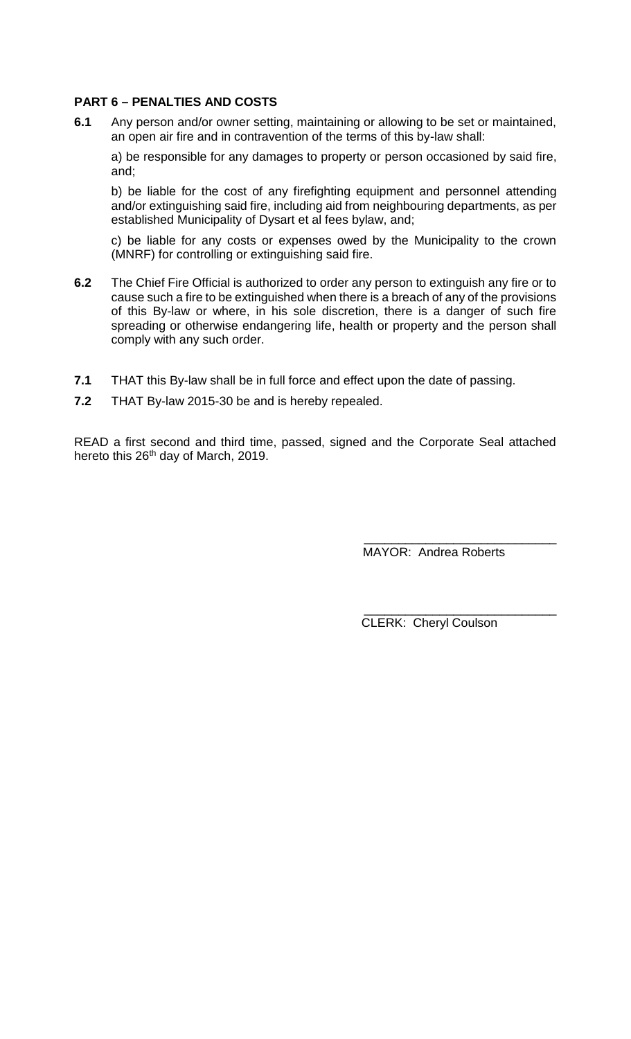## **PART 6 – PENALTIES AND COSTS**

**6.1** Any person and/or owner setting, maintaining or allowing to be set or maintained, an open air fire and in contravention of the terms of this by-law shall:

a) be responsible for any damages to property or person occasioned by said fire, and;

b) be liable for the cost of any firefighting equipment and personnel attending and/or extinguishing said fire, including aid from neighbouring departments, as per established Municipality of Dysart et al fees bylaw, and;

c) be liable for any costs or expenses owed by the Municipality to the crown (MNRF) for controlling or extinguishing said fire.

- **6.2** The Chief Fire Official is authorized to order any person to extinguish any fire or to cause such a fire to be extinguished when there is a breach of any of the provisions of this By-law or where, in his sole discretion, there is a danger of such fire spreading or otherwise endangering life, health or property and the person shall comply with any such order.
- **7.1** THAT this By-law shall be in full force and effect upon the date of passing.
- **7.2** THAT By-law 2015-30 be and is hereby repealed.

READ a first second and third time, passed, signed and the Corporate Seal attached hereto this 26<sup>th</sup> day of March, 2019.

> \_\_\_\_\_\_\_\_\_\_\_\_\_\_\_\_\_\_\_\_\_\_\_\_\_\_\_\_ MAYOR: Andrea Roberts

> \_\_\_\_\_\_\_\_\_\_\_\_\_\_\_\_\_\_\_\_\_\_\_\_\_\_\_\_ CLERK: Cheryl Coulson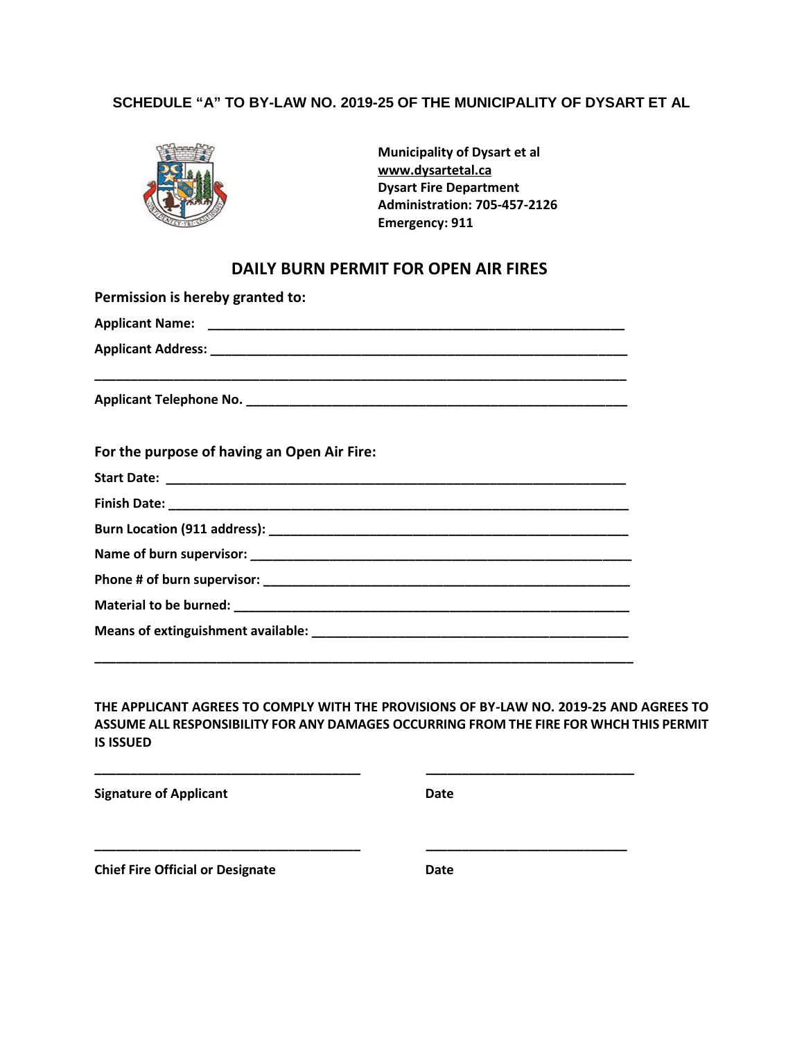#### **SCHEDULE "A" TO BY-LAW NO. 2019-25 OF THE MUNICIPALITY OF DYSART ET AL**



**Municipality of Dysart et al www.dysartetal.ca Dysart Fire Department Administration: 705-457-2126 Emergency: 911**

## **DAILY BURN PERMIT FOR OPEN AIR FIRES**

| Permission is hereby granted to:            |  |
|---------------------------------------------|--|
|                                             |  |
|                                             |  |
|                                             |  |
| For the purpose of having an Open Air Fire: |  |
|                                             |  |
|                                             |  |
|                                             |  |
|                                             |  |
|                                             |  |
|                                             |  |
|                                             |  |
|                                             |  |

#### **THE APPLICANT AGREES TO COMPLY WITH THE PROVISIONS OF BY-LAW NO. 2019-25 AND AGREES TO ASSUME ALL RESPONSIBILITY FOR ANY DAMAGES OCCURRING FROM THE FIRE FOR WHCH THIS PERMIT IS ISSUED**

**\_\_\_\_\_\_\_\_\_\_\_\_\_\_\_\_\_\_\_\_\_\_\_\_\_\_\_\_\_\_\_\_\_\_\_\_\_ \_\_\_\_\_\_\_\_\_\_\_\_\_\_\_\_\_\_\_\_\_\_\_\_\_\_\_\_\_**

**\_\_\_\_\_\_\_\_\_\_\_\_\_\_\_\_\_\_\_\_\_\_\_\_\_\_\_\_\_\_\_\_\_\_\_\_\_ \_\_\_\_\_\_\_\_\_\_\_\_\_\_\_\_\_\_\_\_\_\_\_\_\_\_\_\_**

**Signature of Applicant Date**

**Chief Fire Official or Designate Date**